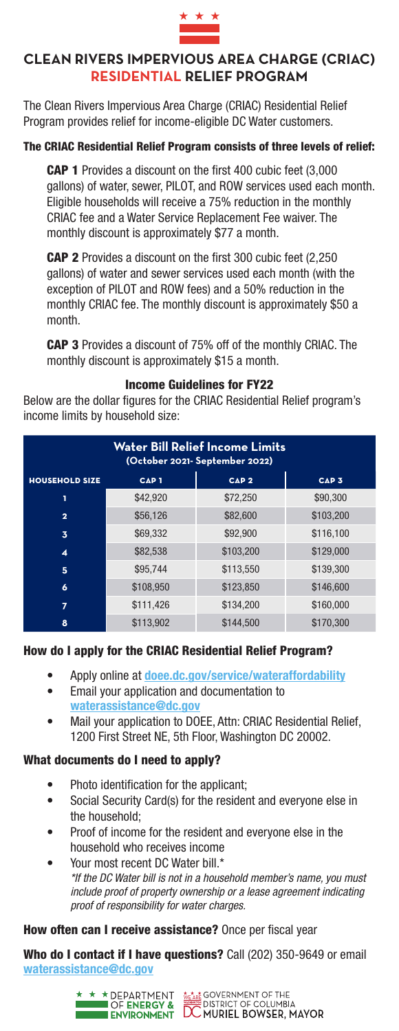

# **CLEAN RIVERS IMPERVIOUS AREA CHARGE (CRIAC) RESIDENTIAL RELIEF PROGRAM**

The Clean Rivers Impervious Area Charge (CRIAC) Residential Relief Program provides relief for income-eligible DC Water customers.

### The CRIAC Residential Relief Program consists of three levels of relief:

CAP 1 Provides a discount on the first 400 cubic feet (3,000 gallons) of water, sewer, PILOT, and ROW services used each month. Eligible households will receive a 75% reduction in the monthly CRIAC fee and a Water Service Replacement Fee waiver. The monthly discount is approximately \$77 a month.

CAP 2 Provides a discount on the first 300 cubic feet (2,250 gallons) of water and sewer services used each month (with the exception of PILOT and ROW fees) and a 50% reduction in the monthly CRIAC fee. The monthly discount is approximately \$50 a month.

CAP 3 Provides a discount of 75% off of the monthly CRIAC. The monthly discount is approximately \$15 a month.

#### Income Guidelines for FY22

Below are the dollar figures for the CRIAC Residential Relief program's income limits by household size:

| <b>Water Bill Relief Income Limits</b><br>(October 2021- September 2022) |                  |                  |                  |
|--------------------------------------------------------------------------|------------------|------------------|------------------|
| <b>HOUSEHOLD SIZE</b>                                                    | CAP <sub>1</sub> | CAP <sub>2</sub> | CAP <sub>3</sub> |
| ī                                                                        | \$42,920         | \$72,250         | \$90,300         |
| $\overline{2}$                                                           | \$56,126         | \$82,600         | \$103,200        |
| 3                                                                        | \$69,332         | \$92,900         | \$116,100        |
| 4                                                                        | \$82,538         | \$103,200        | \$129,000        |
| 5                                                                        | \$95.744         | \$113,550        | \$139,300        |
| 6                                                                        | \$108,950        | \$123,850        | \$146,600        |
| 7                                                                        | \$111,426        | \$134,200        | \$160,000        |
| 8                                                                        | \$113.902        | \$144.500        | \$170,300        |

## How do I apply for the CRIAC Residential Relief Program?

- Apply online at doee.dc.gov/service/wateraffordability
- Email your application and documentation to waterassistance@dc.gov
- Mail your application to DOEE, Attn: CRIAC Residential Relief, 1200 First Street NE, 5th Floor, Washington DC 20002.

## What documents do I need to apply?

- Photo identification for the applicant;
- Social Security Card(s) for the resident and everyone else in the household;
- Proof of income for the resident and everyone else in the household who receives income
- Your most recent DC Water bill.\* *\*If the DC Water bill is not in a household member's name, you must include proof of property ownership or a lease agreement indicating proof of responsibility for water charges.*

## How often can I receive assistance? Once per fiscal year

Who do I contact if I have questions? Call (202) 350-9649 or email waterassistance@dc.gov